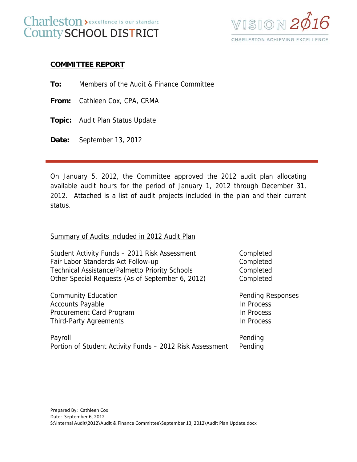## Charleston > excellence is our standard County SCHOOL DISTRICT



## **COMMITTEE REPORT**

**To:** Members of the Audit & Finance Committee

**From:** Cathleen Cox, CPA, CRMA

**Topic:** Audit Plan Status Update

**Date:** September 13, 2012

On January 5, 2012, the Committee approved the 2012 audit plan allocating available audit hours for the period of January 1, 2012 through December 31, 2012. Attached is a list of audit projects included in the plan and their current status.

## Summary of Audits included in 2012 Audit Plan

Student Activity Funds – 2011 Risk Assessment Completed Fair Labor Standards Act Follow-up Completed Technical Assistance/Palmetto Priority Schools Completed Other Special Requests (As of September 6, 2012) Completed

Community Education **Pending Responses** Accounts Payable **In Process** Procurement Card Program In Process Third-Party Agreements **In Process** 

| Payroll                                                          | Pending |
|------------------------------------------------------------------|---------|
| Portion of Student Activity Funds – 2012 Risk Assessment Pending |         |